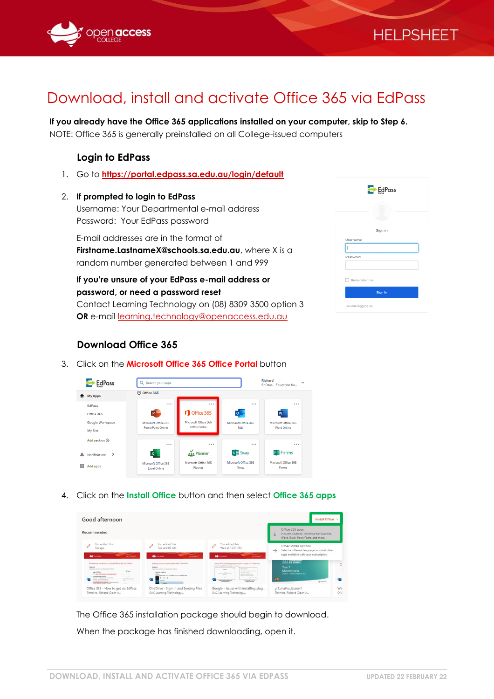

# Download, install and activate Office 365 via EdPass

**If you already have the Office 365 applications installed on your computer, skip to Step 6.** NOTE: Office 365 is generally preinstalled on all College-issued computers

## **Login to EdPass**

1. Go to **<https://portal.edpass.sa.edu.au/login/default>**

### 2. **If prompted to login to EdPass**

Username: Your Departmental e-mail address Password: Your EdPass password

E-mail addresses are in the format of **Firstname.LastnameX@schools.sa.edu.au**, where X is a random number generated between 1 and 999

**If you're unsure of your EdPass e-mail address or password, or need a password reset** Contact Learning Technology on (08) 8309 3500 option 3 **OR** e-mail [learning.technology@openaccess.edu.au](mailto:learning.technology@openaccess.edu.au)

# $E<sub>g</sub>$  EdPass Sign in Sign Ir .<br>ging in?

**HELPSHEET** 

# **Download Office 365**

3. Click on the **Microsoft Office 365 Office Portal** button



4. Click on the **Install Office** button and then select **Office 365 apps**

| Good afternoon                                                                                                                                                                                                                                                                                                                                                                                                                                                      |                                                                                                                                                                                                                                                          |                                                                                                                                                                                                                                                                                                                                                                                                                            | Install Office V                                                                                                                 |
|---------------------------------------------------------------------------------------------------------------------------------------------------------------------------------------------------------------------------------------------------------------------------------------------------------------------------------------------------------------------------------------------------------------------------------------------------------------------|----------------------------------------------------------------------------------------------------------------------------------------------------------------------------------------------------------------------------------------------------------|----------------------------------------------------------------------------------------------------------------------------------------------------------------------------------------------------------------------------------------------------------------------------------------------------------------------------------------------------------------------------------------------------------------------------|----------------------------------------------------------------------------------------------------------------------------------|
| Recommended                                                                                                                                                                                                                                                                                                                                                                                                                                                         |                                                                                                                                                                                                                                                          |                                                                                                                                                                                                                                                                                                                                                                                                                            | Office 365 apps<br>Includes Outlook, OneDrive for Business,<br>$\frac{1}{2}$<br>Word, Excel, PowerPoint, and more.               |
| You edited this<br>5m ago<br>بغد<br>the score<br><b>HILPSHEET</b>                                                                                                                                                                                                                                                                                                                                                                                                   | You edited this<br>Tue at 8:03 AM<br>مە<br><b>STEWART</b><br>HELPSHEET                                                                                                                                                                                   | You edited this<br>Wed at 12:01 PM<br>ىغە<br>toy germa<br>HELPSHEET                                                                                                                                                                                                                                                                                                                                                        | Other install options<br>Select a different language or install other<br>$\rightarrow$<br>apps available with your subscription. |
| Download, installand activate Office 365 via EdPays<br>Oklashia<br>Logithacando ha hi con bacemente dealine<br>Done<br>Leads by Saltians<br>1. Go to Mary, lawhiladean as advise high radial<br>1. Kansasad in Ingil is folked<br>$\sim$<br>instants: the Characterist word adapted<br>Month Text Editor Johnson<br>The furniture are in the countries does<br>feet commentation beats as why by inhere it's a survivor<br><b>A didne becaused between 1 and 20</b> | Signing into and syncing files with OneDrive<br>Oklahom<br>Los throughout the biject become to deliver<br><b><i><u>Search a Straighter</u></i></b><br>Modele<br>Spot the Mark Marie Second for Coadbline and count Coadbline Charol<br><b>But cuttle</b> | laues with installing plugins or join classes on Classroom.<br>halos for på 607 it hundredig ara neorge<br><b>Week Account</b><br>The system is not be and which<br>and access for their<br><b>House</b><br>----<br>below to the sensitive condition<br>1000<br><b>Council Avenue Avenue</b><br><b>All And The</b><br>When kiddle is more as<br>West Evidence & Literature<br><b>Sanda Francisco</b><br>Cleaner Walk Store | <b>AT HOME</b><br>Year 7<br><b>Mathematics</b><br>Lesson 1 - mumber and place value<br><b>The</b><br><b>SURFACE</b>              |
| Office 365 - How to get via EdPass<br>Timmins, Richard (Open A                                                                                                                                                                                                                                                                                                                                                                                                      | OneDrive - Sign-in and Syncing Files<br>OAC Learning Technology                                                                                                                                                                                          | Google - Issues with installing plug<br>OAC Learning Technology                                                                                                                                                                                                                                                                                                                                                            | yr7_maths_lesson1<br>Timmins, Richard (Open A.,.                                                                                 |

The Office 365 installation package should begin to download. When the package has finished downloading, open it.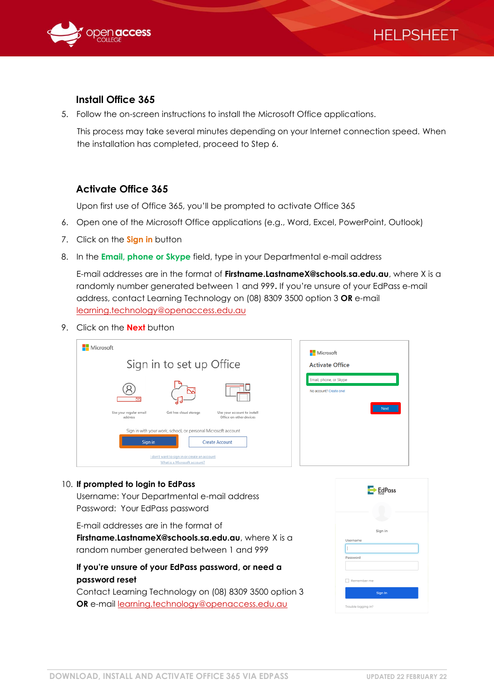



# **Install Office 365**

5. Follow the on-screen instructions to install the Microsoft Office applications.

This process may take several minutes depending on your Internet connection speed. When the installation has completed, proceed to Step 6.

# **Activate Office 365**

Upon first use of Office 365, you'll be prompted to activate Office 365

- 6. Open one of the Microsoft Office applications (e.g., Word, Excel, PowerPoint, Outlook)
- 7. Click on the **Sign in** button
- 8. In the **Email, phone or Skype** field, type in your Departmental e-mail address

E-mail addresses are in the format of **Firstname.LastnameX@schools.sa.edu.au**, where X is a randomly number generated between 1 and 999**.** If you're unsure of your EdPass e-mail address, contact Learning Technology on (08) 8309 3500 option 3 **OR** e-mail [learning.technology@openaccess.edu.au](mailto:learning.technology@openaccess.edu.au)

9. Click on the **Next** button

| Microsoft<br>Sign in to set up Office                                                                                                                                             | Microsoft<br><b>Activate Office</b>                              |
|-----------------------------------------------------------------------------------------------------------------------------------------------------------------------------------|------------------------------------------------------------------|
| Use your regular email<br>Get free cloud storage<br>Use your account to install<br>Office on other devices<br>address                                                             | Email, phone, or Skype<br>No account? Create one!<br><b>Next</b> |
| Sign in with your work, school, or personal Microsoft account<br>Sign in<br><b>Create Account</b><br>I don't want to sign in or create an account<br>What is a Microsoft account? |                                                                  |

#### 10. **If prompted to login to EdPass**

Username: Your Departmental e-mail address Password: Your EdPass password

E-mail addresses are in the format of **Firstname.LastnameX@schools.sa.edu.au**, where X is a random number generated between 1 and 999

# **If you're unsure of your EdPass password, or need a password reset**

Contact Learning Technology on (08) 8309 3500 option 3 **OR** e-mail [learning.technology@openaccess.edu.au](mailto:learning.technology@openaccess.edu.au)

| $Ectal$ Pass        |  |
|---------------------|--|
|                     |  |
| Sign in             |  |
| Username            |  |
|                     |  |
| Password            |  |
|                     |  |
| Remember me         |  |
| Sign In             |  |
| Trouble logging in? |  |